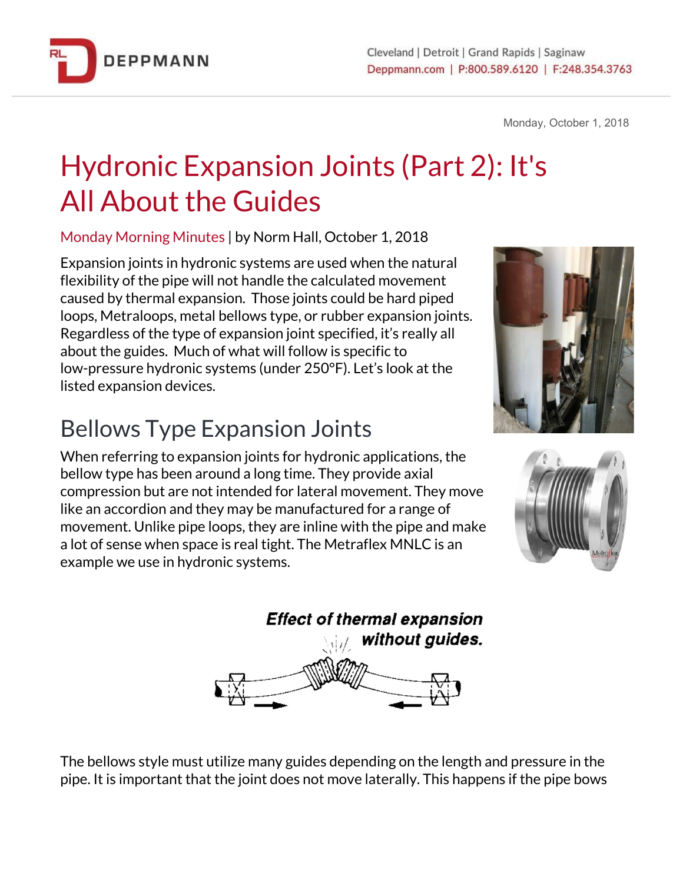

Monday, October 1, 2018

# Hydronic Expansion Joints (Part 2): It's All About the Guides

Monday Morning Minutes | by Norm Hall, October 1, 2018

Expansion joints in hydronic systems are used when the natural flexibility of the pipe will not handle the calculated movement caused by thermal expansion. Those joints could be hard piped loops, Metraloops, metal bellows type, or rubber expansion joints. Regardless of the type of expansion joint specified, it's really all about the guides. Much of what will follow is specific to low-pressure hydronic systems (under 250°F). Let's look at the listed expansion devices.

## Bellows Type Expansion Joints

When referring to expansion joints for hydronic applications, the bellow type has been around a long time. They provide axial compression but are not intended for lateral movement. They move like an accordion and they may be manufactured for a range of movement. Unlike pipe loops, they are inline with the pipe and make a lot of sense when space is real tight. The Metraflex MNLC is an example we use in hydronic systems.







The bellows style must utilize many guides depending on the length and pressure in the pipe. It is important that the joint does not move laterally. This happens if the pipe bows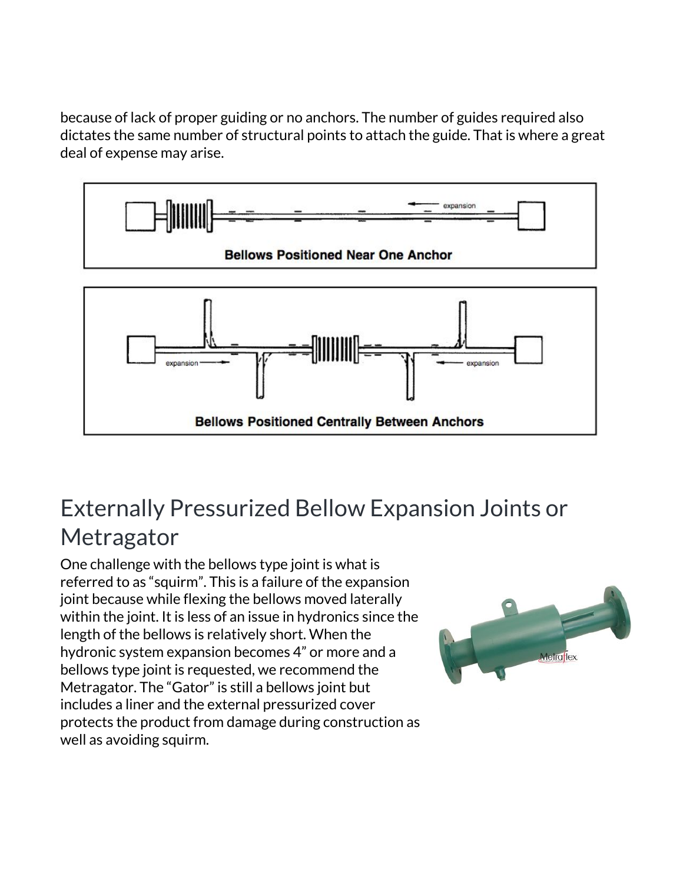because of lack of proper guiding or no anchors. The number of guides required also dictates the same number of structural points to attach the guide. That is where a great deal of expense may arise.



## Externally Pressurized Bellow Expansion Joints or **Metragator**

One challenge with the bellows type joint is what is referred to as "squirm". This is a failure of the expansion joint because while flexing the bellows moved laterally within the joint. It is less of an issue in hydronics since the length of the bellows is relatively short. When the hydronic system expansion becomes 4" or more and a bellows type joint is requested, we recommend the Metragator. The "Gator" is still a bellows joint but includes a liner and the external pressurized cover protects the product from damage during construction as well as avoiding squirm.

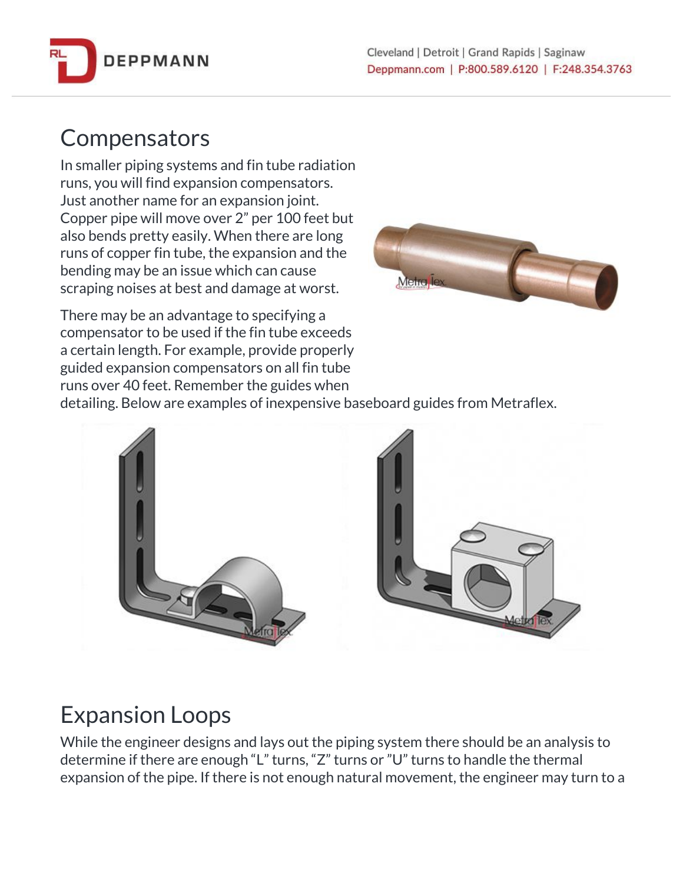

#### **Compensators**

In smaller piping systems and fin tube radiation runs, you will find expansion compensators. Just another name for an expansion joint. Copper pipe will move over 2" per 100 feet but also bends pretty easily. When there are long runs of copper fin tube, the expansion and the bending may be an issue which can cause scraping noises at best and damage at worst.



There may be an advantage to specifying a compensator to be used if the fin tube exceeds a certain length. For example, provide properly guided expansion compensators on all fin tube runs over 40 feet. Remember the guides when

detailing. Below are examples of inexpensive baseboard guides from Metraflex.





## Expansion Loops

While the engineer designs and lays out the piping system there should be an analysis to determine if there are enough "L" turns, "Z" turns or "U" turns to handle the thermal expansion of the pipe. If there is not enough natural movement, the engineer may turn to a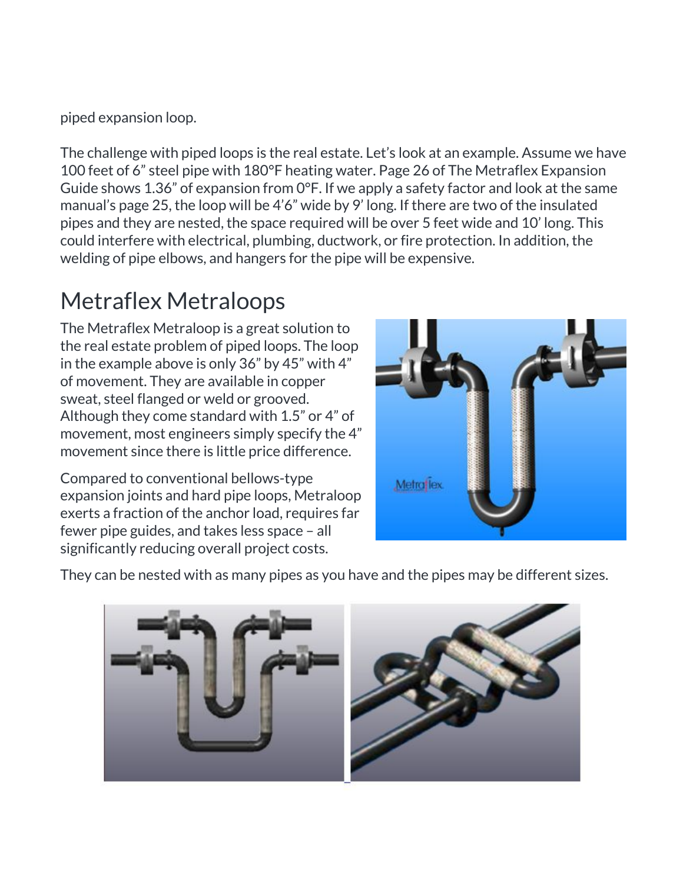piped expansion loop.

The challenge with piped loops is the real estate. Let's look at an example. Assume we have 100 feet of 6" steel pipe with 180°F heating water. Page 26 of The Metraflex Expansion Guide shows 1.36" of expansion from 0°F. If we apply a safety factor and look at the same manual's page 25, the loop will be 4'6" wide by 9' long. If there are two of the insulated pipes and they are nested, the space required will be over 5 feet wide and 10' long. This could interfere with electrical, plumbing, ductwork, or fire protection. In addition, the welding of pipe elbows, and hangers for the pipe will be expensive.

## Metraflex Metraloops

The Metraflex Metraloop is a great solution to the real estate problem of piped loops. The loop in the example above is only 36" by 45" with 4" of movement. They are available in copper sweat, steel flanged or weld or grooved. Although they come standard with 1.5" or 4" of movement, most engineers simply specify the 4" movement since there is little price difference.

Compared to conventional bellows-type expansion joints and hard pipe loops, Metraloop exerts a fraction of the anchor load, requires far fewer pipe guides, and takes less space – all significantly reducing overall project costs.



They can be nested with as many pipes as you have and the pipes may be different sizes.